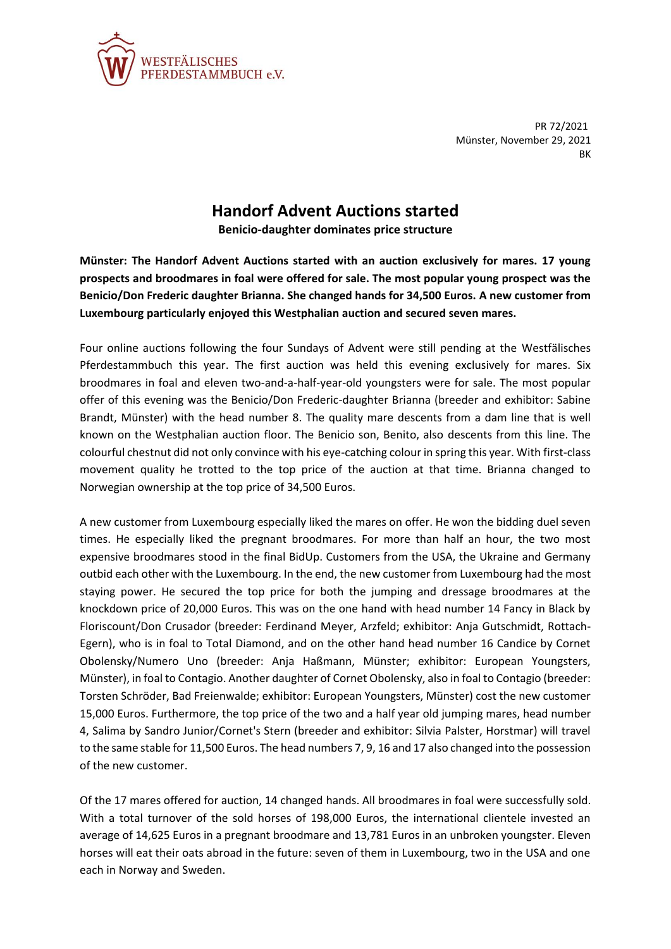

PR 72/2021 Münster, November 29, 2021 BK

## **Handorf Advent Auctions started**

**Benicio-daughter dominates price structure**

**Münster: The Handorf Advent Auctions started with an auction exclusively for mares. 17 young prospects and broodmares in foal were offered for sale. The most popular young prospect was the Benicio/Don Frederic daughter Brianna. She changed hands for 34,500 Euros. A new customer from Luxembourg particularly enjoyed this Westphalian auction and secured seven mares.**

Four online auctions following the four Sundays of Advent were still pending at the Westfälisches Pferdestammbuch this year. The first auction was held this evening exclusively for mares. Six broodmares in foal and eleven two-and-a-half-year-old youngsters were for sale. The most popular offer of this evening was the Benicio/Don Frederic-daughter Brianna (breeder and exhibitor: Sabine Brandt, Münster) with the head number 8. The quality mare descents from a dam line that is well known on the Westphalian auction floor. The Benicio son, Benito, also descents from this line. The colourful chestnut did not only convince with his eye-catching colour in spring this year. With first-class movement quality he trotted to the top price of the auction at that time. Brianna changed to Norwegian ownership at the top price of 34,500 Euros.

A new customer from Luxembourg especially liked the mares on offer. He won the bidding duel seven times. He especially liked the pregnant broodmares. For more than half an hour, the two most expensive broodmares stood in the final BidUp. Customers from the USA, the Ukraine and Germany outbid each other with the Luxembourg. In the end, the new customer from Luxembourg had the most staying power. He secured the top price for both the jumping and dressage broodmares at the knockdown price of 20,000 Euros. This was on the one hand with head number 14 Fancy in Black by Floriscount/Don Crusador (breeder: Ferdinand Meyer, Arzfeld; exhibitor: Anja Gutschmidt, Rottach-Egern), who is in foal to Total Diamond, and on the other hand head number 16 Candice by Cornet Obolensky/Numero Uno (breeder: Anja Haßmann, Münster; exhibitor: European Youngsters, Münster), in foal to Contagio. Another daughter of Cornet Obolensky, also in foal to Contagio (breeder: Torsten Schröder, Bad Freienwalde; exhibitor: European Youngsters, Münster) cost the new customer 15,000 Euros. Furthermore, the top price of the two and a half year old jumping mares, head number 4, Salima by Sandro Junior/Cornet's Stern (breeder and exhibitor: Silvia Palster, Horstmar) will travel to the same stable for 11,500 Euros. The head numbers 7, 9, 16 and 17 also changed into the possession of the new customer.

Of the 17 mares offered for auction, 14 changed hands. All broodmares in foal were successfully sold. With a total turnover of the sold horses of 198,000 Euros, the international clientele invested an average of 14,625 Euros in a pregnant broodmare and 13,781 Euros in an unbroken youngster. Eleven horses will eat their oats abroad in the future: seven of them in Luxembourg, two in the USA and one each in Norway and Sweden.